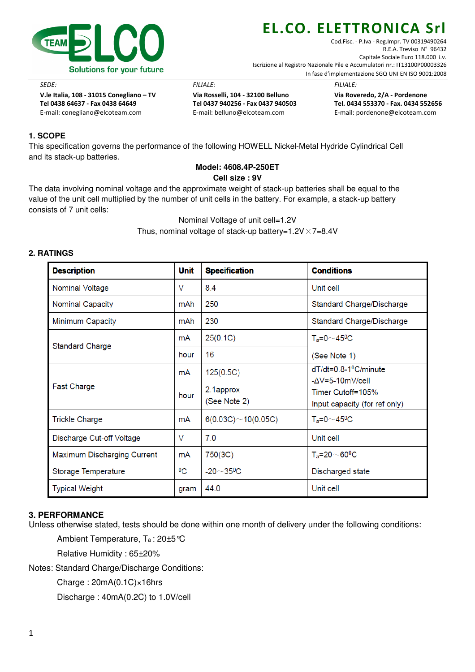

Cod.Fisc. - P.Iva - Reg.Impr. TV 00319490264 R.E.A. Treviso N° 96432 Capitale Sociale Euro 118.000 i.v. Iscrizione al Registro Nazionale Pile e Accumulatori nr.: IT13100P00003326 In fase d'implementazione SGQ UNI EN ISO 9001:2008

SEDE: FILIALE: FILIALE:

 V.le Italia, 108 - 31015 Conegliano – TV Via Rosselli, 104 - 32100 Belluno Via Roveredo, 2/A - Pordenone Tel 0438 64637 - Fax 0438 64649 Tel 0437 940256 - Fax 0437 940503 Tel. 0434 553370 - Fax. 0434 552656 E-mail: conegliano@elcoteam.com E-mail: belluno@elcoteam.com E-mail: pordenone@elcoteam.com

## **1. SCOPE**

This specification governs the performance of the following HOWELL Nickel-Metal Hydride Cylindrical Cell and its stack-up batteries.

#### **Model: 4608.4P-250ET Cell size : 9V**

The data involving nominal voltage and the approximate weight of stack-up batteries shall be equal to the value of the unit cell multiplied by the number of unit cells in the battery. For example, a stack-up battery consists of 7 unit cells:

> Nominal Voltage of unit cell=1.2V Thus, nominal voltage of stack-up battery=1.2V $\times$ 7=8.4V

### **2. RATINGS**

| <b>Description</b>          | <b>Unit</b> | <b>Specification</b>           | <b>Conditions</b>                                                                  |  |
|-----------------------------|-------------|--------------------------------|------------------------------------------------------------------------------------|--|
| Nominal Voltage             | V           | 8.4                            | Unit cell                                                                          |  |
| <b>Nominal Capacity</b>     | mAh         | 250                            | Standard Charge/Discharge                                                          |  |
| Minimum Capacity            | mAh         | 230                            | Standard Charge/Discharge                                                          |  |
|                             | mA          | 25(0.1C)                       | $T_a = 0 \sim 45$ <sup>0</sup> C                                                   |  |
| <b>Standard Charge</b>      | hour        | 16                             | (See Note 1)                                                                       |  |
|                             | mA          | 125(0.5C)                      | $dT/dt = 0.8 - 10C/minute$                                                         |  |
| <b>Fast Charge</b>          | hour        | 2.1approx<br>(See Note 2)      | $-\Delta V$ =5-10m $V/c$ ell<br>Timer Cutoff=105%<br>Input capacity (for ref only) |  |
| <b>Trickle Charge</b>       | mA          | $6(0.03C) \sim 10(0.05C)$      | $T_a = 0 \sim 45$ <sup>o</sup> C                                                   |  |
| Discharge Cut-off Voltage   | V           | 7.0                            | Unit cell                                                                          |  |
| Maximum Discharging Current | mA          | 750(3C)                        | $T_a = 20 \sim 60^0C$                                                              |  |
| Storage Temperature         | $^{0}C$     | $-20$ $\sim$ 35 <sup>0</sup> C | Discharged state                                                                   |  |
| <b>Typical Weight</b>       | gram        | 44.0                           | Unit cell                                                                          |  |

### **3. PERFORMANCE**

Unless otherwise stated, tests should be done within one month of delivery under the following conditions:

Ambient Temperature, Ta : 20±5°C

Relative Humidity : 65±20%

Notes: Standard Charge/Discharge Conditions:

Charge : 20mA(0.1C)×16hrs

Discharge : 40mA(0.2C) to 1.0V/cell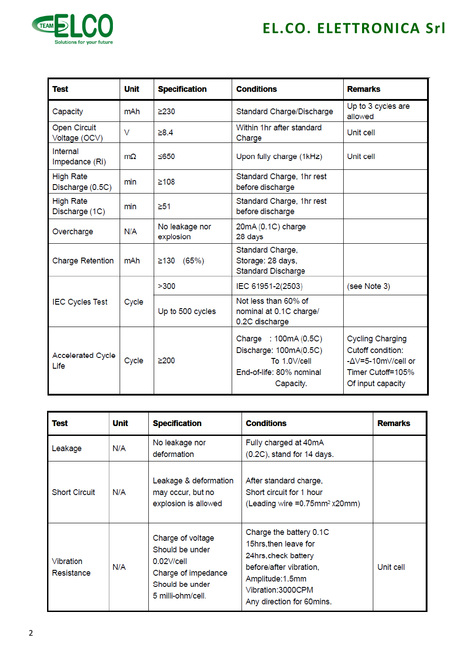

| <b>Test</b>                          | Unit           | <b>Specification</b>        | <b>Conditions</b>                                                                                        | <b>Remarks</b>                                                                                               |
|--------------------------------------|----------------|-----------------------------|----------------------------------------------------------------------------------------------------------|--------------------------------------------------------------------------------------------------------------|
| Capacity                             | mAh            | $\geq$ 230                  | Standard Charge/Discharge                                                                                | Up to 3 cycles are<br>allowed                                                                                |
| <b>Open Circuit</b><br>Voltage (OCV) | V              | >8.4                        | Within 1hr after standard<br>Charge                                                                      | Unit cell                                                                                                    |
| Internal<br>Impedance (Ri)           | m <sub>O</sub> | 5650                        | Upon fully charge (1kHz)                                                                                 | Unit cell                                                                                                    |
| <b>High Rate</b><br>Discharge (0.5C) | min            | ≥108                        | Standard Charge, 1hr rest<br>before discharge                                                            |                                                                                                              |
| <b>High Rate</b><br>Discharge (1C)   | min            | $\geq 51$                   | Standard Charge, 1hr rest<br>before discharge                                                            |                                                                                                              |
| Overcharge                           | N/A            | No leakage nor<br>explosion | 20mA (0.1C) charge<br>28 days                                                                            |                                                                                                              |
| <b>Charge Retention</b>              | mAh            | $≥130$ (65%)                | Standard Charge,<br>Storage: 28 days,<br><b>Standard Discharge</b>                                       |                                                                                                              |
|                                      |                | >300                        | IEC 61951-2(2503)                                                                                        | (see Note 3)                                                                                                 |
| <b>IEC Cycles Test</b>               | Cycle          | Up to 500 cycles            | Not less than 60% of<br>nominal at 0.1C charge/<br>0.2C discharge                                        |                                                                                                              |
| <b>Accelerated Cycle</b><br>Life     | Cycle          | >200                        | Charge : 100mA (0.5C)<br>Discharge: 100mA(0.5C)<br>To 1.0V/cell<br>End-of-life: 80% nominal<br>Capacity. | <b>Cycling Charging</b><br>Cutoff condition:<br>-AV=5-10mV/cell or<br>Timer Cutoff=105%<br>Of input capacity |

| <b>Test</b>             | Unit | <b>Specification</b>                                                                                                 | <b>Conditions</b>                                                                                                                                                       | <b>Remarks</b> |
|-------------------------|------|----------------------------------------------------------------------------------------------------------------------|-------------------------------------------------------------------------------------------------------------------------------------------------------------------------|----------------|
| Leakage                 | N/A  | No leakage nor<br>deformation                                                                                        | Fully charged at 40mA<br>$(0.2C)$ , stand for 14 days.                                                                                                                  |                |
| <b>Short Circuit</b>    | N/A  | Leakage & deformation<br>may occur, but no<br>explosion is allowed                                                   | After standard charge,<br>Short circuit for 1 hour<br>(Leading wire =0.75mm <sup>2</sup> x20mm)                                                                         |                |
| Vibration<br>Resistance | N/A  | Charge of voltage<br>Should be under<br>$0.02$ V/cell<br>Charge of impedance<br>Should be under<br>5 milli-ohm/cell. | Charge the battery 0.1C<br>15hrs.then leave for<br>24hrs, check battery<br>before/after vibration,<br>Amplitude:1.5mm<br>Vibration:3000CPM<br>Any direction for 60mins. | Unit cell      |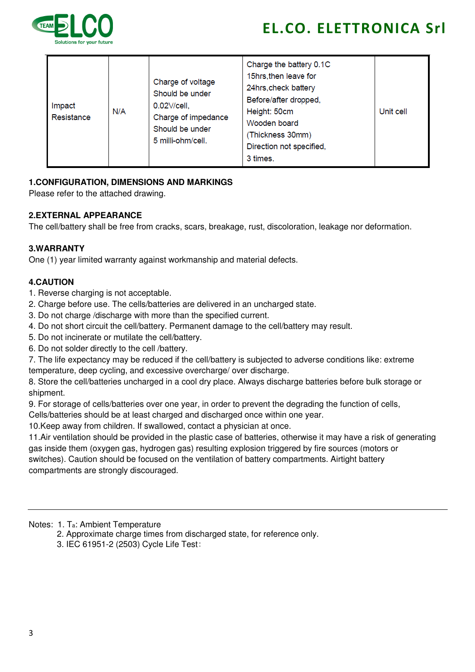

| Impact<br>Resistance | N/A | Charge of voltage<br>Should be under<br>$0.02$ $V$ cell,<br>Charge of impedance<br>Should be under<br>5 milli-ohm/cell. | Charge the battery 0.1C<br>15hrs, then leave for<br>24hrs, check battery<br>Before/after dropped,<br>Height: 50cm<br>Wooden board<br>(Thickness 30mm)<br>Direction not specified,<br>3 times. | Unit cell |
|----------------------|-----|-------------------------------------------------------------------------------------------------------------------------|-----------------------------------------------------------------------------------------------------------------------------------------------------------------------------------------------|-----------|
|----------------------|-----|-------------------------------------------------------------------------------------------------------------------------|-----------------------------------------------------------------------------------------------------------------------------------------------------------------------------------------------|-----------|

### **1.CONFIGURATION, DIMENSIONS AND MARKINGS**

Please refer to the attached drawing.

### **2.EXTERNAL APPEARANCE**

The cell/battery shall be free from cracks, scars, breakage, rust, discoloration, leakage nor deformation.

### **3.WARRANTY**

One (1) year limited warranty against workmanship and material defects.

### **4.CAUTION**

- 1. Reverse charging is not acceptable.
- 2. Charge before use. The cells/batteries are delivered in an uncharged state.
- 3. Do not charge /discharge with more than the specified current.
- 4. Do not short circuit the cell/battery. Permanent damage to the cell/battery may result.
- 5. Do not incinerate or mutilate the cell/battery.
- 6. Do not solder directly to the cell /battery.

7. The life expectancy may be reduced if the cell/battery is subjected to adverse conditions like: extreme temperature, deep cycling, and excessive overcharge/ over discharge.

8. Store the cell/batteries uncharged in a cool dry place. Always discharge batteries before bulk storage or shipment.

9. For storage of cells/batteries over one year, in order to prevent the degrading the function of cells,

Cells/batteries should be at least charged and discharged once within one year.

10.Keep away from children. If swallowed, contact a physician at once.

11.Air ventilation should be provided in the plastic case of batteries, otherwise it may have a risk of generating gas inside them (oxygen gas, hydrogen gas) resulting explosion triggered by fire sources (motors or switches). Caution should be focused on the ventilation of battery compartments. Airtight battery compartments are strongly discouraged.

#### Notes: 1. Ta: Ambient Temperature

- 2. Approximate charge times from discharged state, for reference only.
- 3. IEC 61951-2 (2503) Cycle Life Test: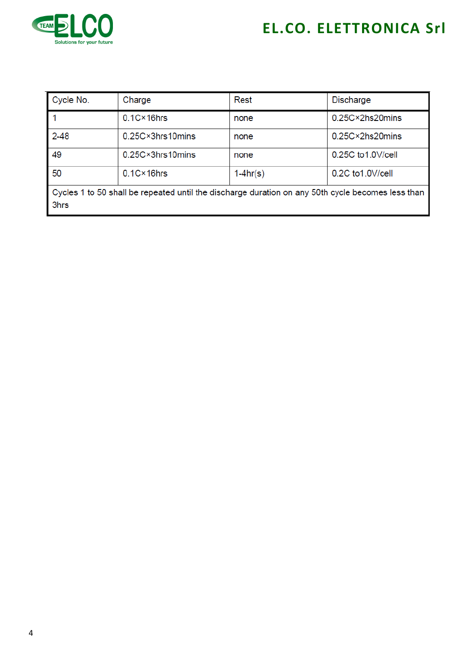

| Cycle No.                                                                                                 | Charge               | Rest       | <b>Discharge</b>              |  |
|-----------------------------------------------------------------------------------------------------------|----------------------|------------|-------------------------------|--|
|                                                                                                           | $0.1C \times 16$ hrs | none       | $0.25C \times 2$ hs $20$ mins |  |
| $2 - 48$                                                                                                  | 0.25C×3hrs10mins     | none       | $0.25C \times 2$ hs $20$ mins |  |
| 49                                                                                                        | 0.25C×3hrs10mins     | none       | 0.25C to 1.0 V/cell           |  |
| 50                                                                                                        | $0.1C \times 16$ hrs | $1-4hr(s)$ | 0.2C to 1.0V/cell             |  |
| Cycles 1 to 50 shall be repeated until the discharge duration on any 50th cycle becomes less than<br>3hrs |                      |            |                               |  |